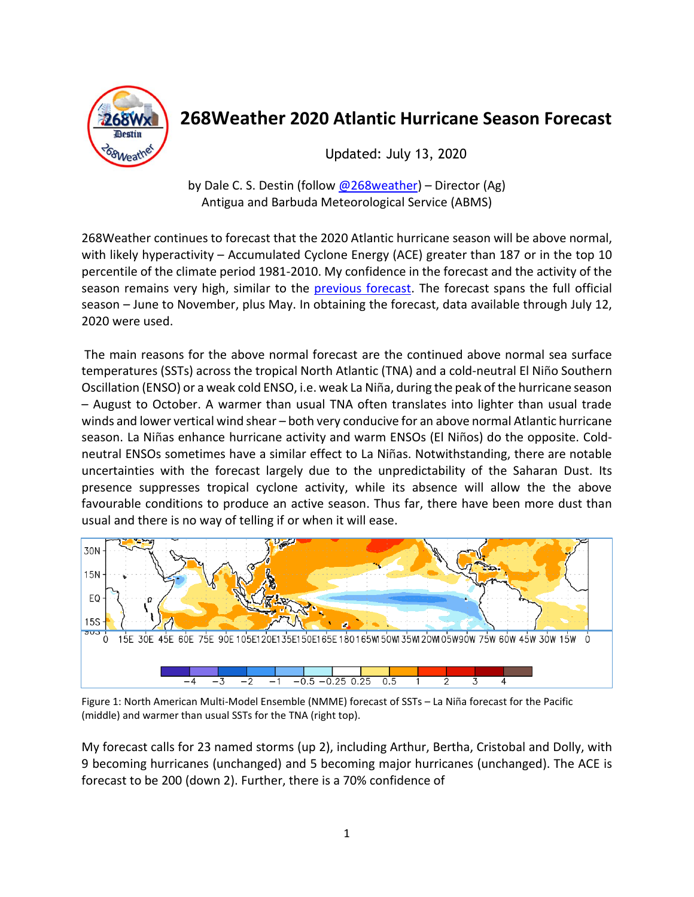

# **268Weather 2020 Atlantic Hurricane Season Forecast**

Updated: July 13, 2020

by Dale C. S. Destin (follow [@268weather\)](https://twitter.com/268Weather) – Director (Ag) Antigua and Barbuda Meteorological Service (ABMS)

268Weather continues to forecast that the 2020 Atlantic hurricane season will be above normal, with likely hyperactivity – Accumulated Cyclone Energy (ACE) greater than 187 or in the top 10 percentile of the climate period 1981-2010. My confidence in the forecast and the activity of the season remains very high, similar to the [previous forecast.](http://antiguamet.com/268WeatherJun2020AtlanticHurricaneSeasonForecast.pdf) The forecast spans the full official season – June to November, plus May. In obtaining the forecast, data available through July 12, 2020 were used.

The main reasons for the above normal forecast are the continued above normal sea surface temperatures (SSTs) across the tropical North Atlantic (TNA) and a cold-neutral El Niño Southern Oscillation (ENSO) or a weak cold ENSO, i.e. weak La Niña, during the peak of the hurricane season – August to October. A warmer than usual TNA often translates into lighter than usual trade winds and lower vertical wind shear – both very conducive for an above normal Atlantic hurricane season. La Niñas enhance hurricane activity and warm ENSOs (El Niños) do the opposite. Coldneutral ENSOs sometimes have a similar effect to La Niñas. Notwithstanding, there are notable uncertainties with the forecast largely due to the unpredictability of the Saharan Dust. Its presence suppresses tropical cyclone activity, while its absence will allow the the above favourable conditions to produce an active season. Thus far, there have been more dust than usual and there is no way of telling if or when it will ease.



Figure 1: North American Multi-Model Ensemble (NMME) forecast of SSTs – La Niña forecast for the Pacific (middle) and warmer than usual SSTs for the TNA (right top).

My forecast calls for 23 named storms (up 2), including Arthur, Bertha, Cristobal and Dolly, with 9 becoming hurricanes (unchanged) and 5 becoming major hurricanes (unchanged). The ACE is forecast to be 200 (down 2). Further, there is a 70% confidence of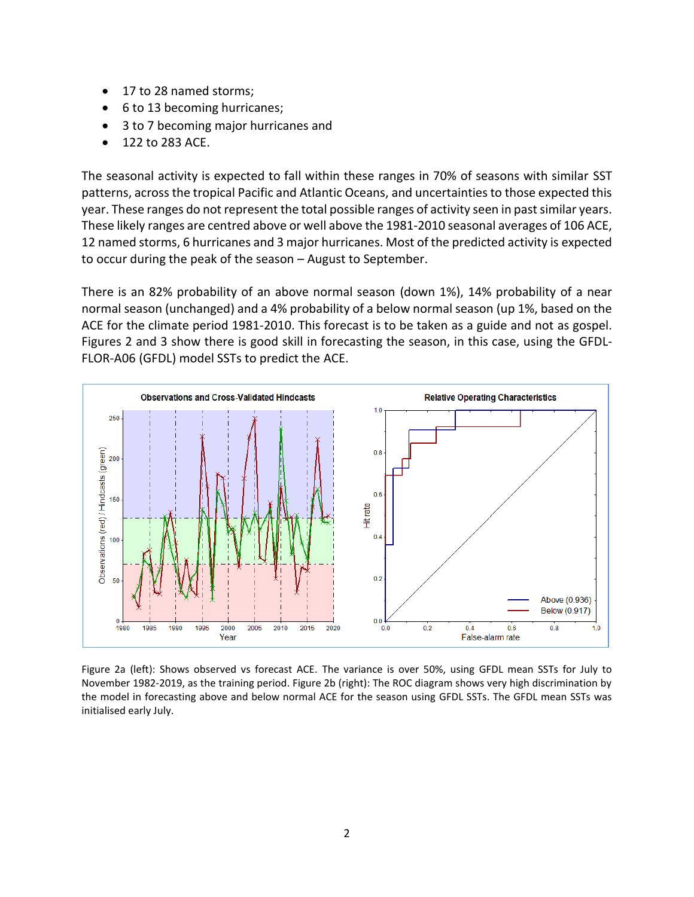- 17 to 28 named storms;
- 6 to 13 becoming hurricanes;
- 3 to 7 becoming major hurricanes and
- 122 to 283 ACE.

The seasonal activity is expected to fall within these ranges in 70% of seasons with similar SST patterns, across the tropical Pacific and Atlantic Oceans, and uncertainties to those expected this year. These ranges do not represent the total possible ranges of activity seen in past similar years. These likely ranges are centred above or well above the 1981-2010 seasonal averages of 106 ACE, 12 named storms, 6 hurricanes and 3 major hurricanes. Most of the predicted activity is expected to occur during the peak of the season – August to September.

There is an 82% probability of an above normal season (down 1%), 14% probability of a near normal season (unchanged) and a 4% probability of a below normal season (up 1%, based on the ACE for the climate period 1981-2010. This forecast is to be taken as a guide and not as gospel. Figures 2 and 3 show there is good skill in forecasting the season, in this case, using the GFDL-FLOR-A06 (GFDL) model SSTs to predict the ACE.



Figure 2a (left): Shows observed vs forecast ACE. The variance is over 50%, using GFDL mean SSTs for July to November 1982-2019, as the training period. Figure 2b (right): The ROC diagram shows very high discrimination by the model in forecasting above and below normal ACE for the season using GFDL SSTs. The GFDL mean SSTs was initialised early July.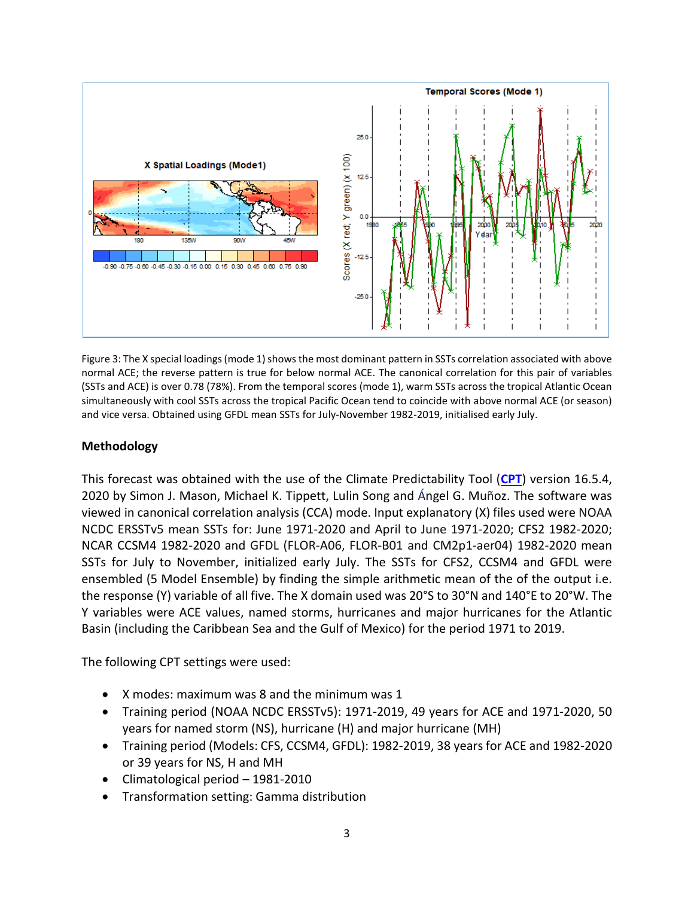

Figure 3: The X special loadings (mode 1) shows the most dominant pattern in SSTs correlation associated with above normal ACE; the reverse pattern is true for below normal ACE. The canonical correlation for this pair of variables (SSTs and ACE) is over 0.78 (78%). From the temporal scores (mode 1), warm SSTs across the tropical Atlantic Ocean simultaneously with cool SSTs across the tropical Pacific Ocean tend to coincide with above normal ACE (or season) and vice versa. Obtained using GFDL mean SSTs for July-November 1982-2019, initialised early July.

# **Methodology**

This forecast was obtained with the use of the Climate Predictability Tool (**[CPT](https://doi.org/10.7916/D8G44WJ6)**) version 16.5.4, 2020 by Simon J. Mason, Michael K. Tippett, Lulin Song and Ángel G. Muñoz. The software was viewed in canonical correlation analysis (CCA) mode. Input explanatory (X) files used were NOAA NCDC ERSSTv5 mean SSTs for: June 1971-2020 and April to June 1971-2020; CFS2 1982-2020; NCAR CCSM4 1982-2020 and GFDL (FLOR-A06, FLOR-B01 and CM2p1-aer04) 1982-2020 mean SSTs for July to November, initialized early July. The SSTs for CFS2, CCSM4 and GFDL were ensembled (5 Model Ensemble) by finding the simple arithmetic mean of the of the output i.e. the response (Y) variable of all five. The X domain used was 20°S to 30°N and 140°E to 20°W. The Y variables were ACE values, named storms, hurricanes and major hurricanes for the Atlantic Basin (including the Caribbean Sea and the Gulf of Mexico) for the period 1971 to 2019.

The following CPT settings were used:

- X modes: maximum was 8 and the minimum was 1
- Training period (NOAA NCDC ERSSTv5): 1971-2019, 49 years for ACE and 1971-2020, 50 years for named storm (NS), hurricane (H) and major hurricane (MH)
- Training period (Models: CFS, CCSM4, GFDL): 1982-2019, 38 years for ACE and 1982-2020 or 39 years for NS, H and MH
- Climatological period 1981-2010
- Transformation setting: Gamma distribution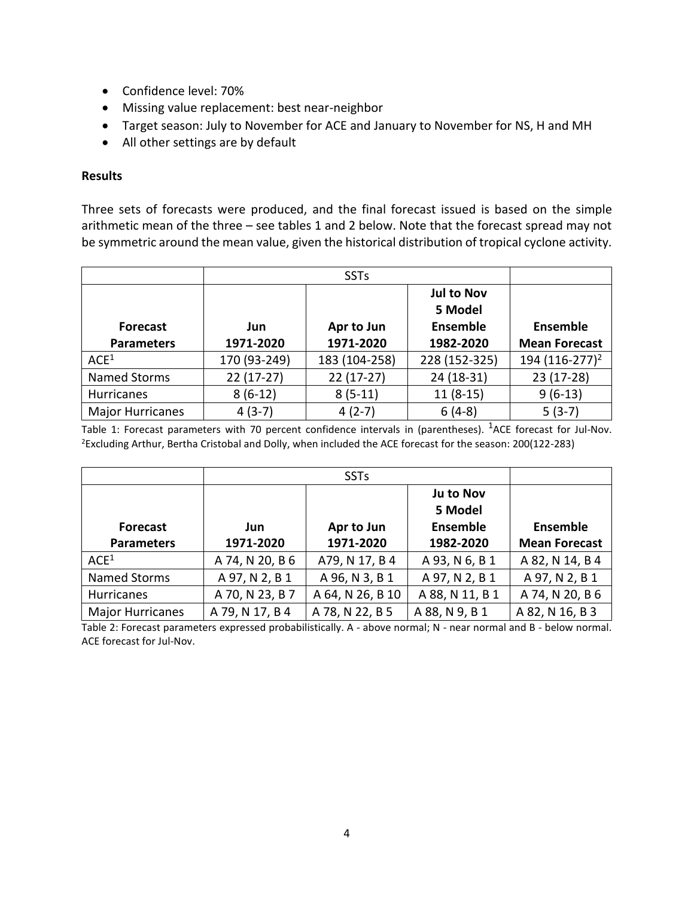- Confidence level: 70%
- Missing value replacement: best near-neighbor
- Target season: July to November for ACE and January to November for NS, H and MH
- All other settings are by default

## **Results**

Three sets of forecasts were produced, and the final forecast issued is based on the simple arithmetic mean of the three – see tables 1 and 2 below. Note that the forecast spread may not be symmetric around the mean value, given the historical distribution of tropical cyclone activity.

|                         |              |               | <b>Jul to Nov</b><br>5 Model |                            |
|-------------------------|--------------|---------------|------------------------------|----------------------------|
| <b>Forecast</b>         | Jun          | Apr to Jun    | Ensemble                     | <b>Ensemble</b>            |
| <b>Parameters</b>       | 1971-2020    | 1971-2020     | 1982-2020                    | <b>Mean Forecast</b>       |
| ACE <sup>1</sup>        | 170 (93-249) | 183 (104-258) | 228 (152-325)                | 194 (116-277) <sup>2</sup> |
| Named Storms            | $22(17-27)$  | $22(17-27)$   | $24(18-31)$                  | 23 (17-28)                 |
| Hurricanes              | $8(6-12)$    | $8(5-11)$     | $11(8-15)$                   | $9(6-13)$                  |
| <b>Major Hurricanes</b> | $4(3-7)$     | $4(2-7)$      | $6(4-8)$                     | $5(3-7)$                   |

Table 1: Forecast parameters with 70 percent confidence intervals in (parentheses). <sup>1</sup>ACE forecast for Jul-Nov. <sup>2</sup>Excluding Arthur, Bertha Cristobal and Dolly, when included the ACE forecast for the season: 200(122-283)

|                         |                 |                  | Ju to Nov                  |                      |
|-------------------------|-----------------|------------------|----------------------------|----------------------|
| <b>Forecast</b>         | Jun             | Apr to Jun       | 5 Model<br><b>Ensemble</b> | <b>Ensemble</b>      |
| <b>Parameters</b>       | 1971-2020       | 1971-2020        | 1982-2020                  | <b>Mean Forecast</b> |
| ACE <sup>1</sup>        | A 74, N 20, B 6 | A79, N 17, B 4   | A 93, N 6, B 1             | A 82, N 14, B 4      |
| Named Storms            | A 97, N 2, B 1  | A 96, N 3, B 1   | A 97, N 2, B 1             | A 97, N 2, B 1       |
| <b>Hurricanes</b>       | A 70, N 23, B 7 | A 64, N 26, B 10 | A 88, N 11, B 1            | A 74, N 20, B 6      |
| <b>Major Hurricanes</b> | A 79, N 17, B 4 | A 78, N 22, B 5  | A 88, N 9, B 1             | A 82, N 16, B 3      |

Table 2: Forecast parameters expressed probabilistically. A - above normal; N - near normal and B - below normal. ACE forecast for Jul-Nov.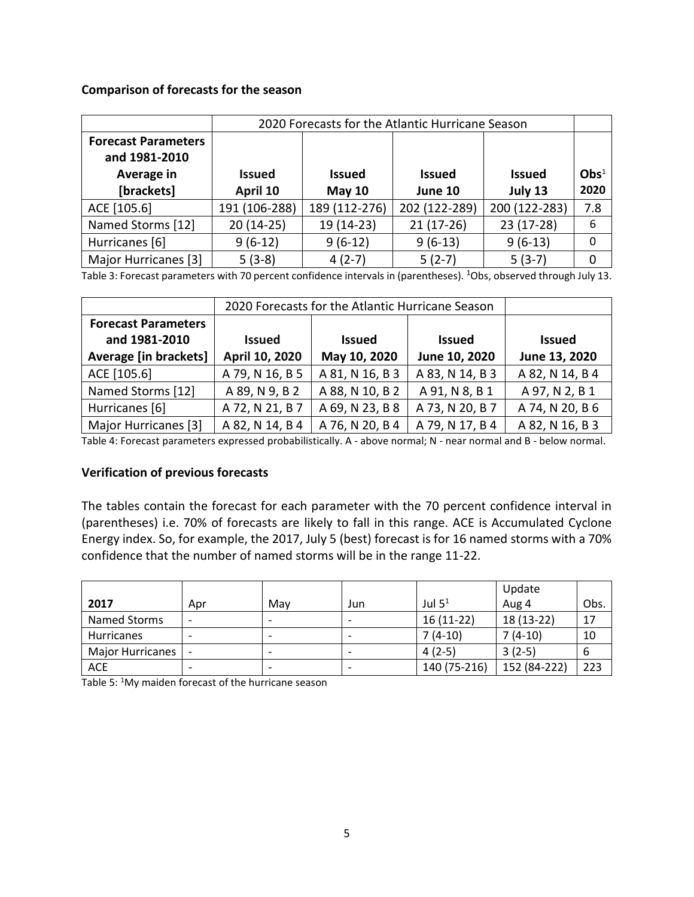#### **Comparison of forecasts for the season**

|                                             | 2020 Forecasts for the Atlantic Hurricane Season |               |               |               |        |  |
|---------------------------------------------|--------------------------------------------------|---------------|---------------|---------------|--------|--|
| <b>Forecast Parameters</b><br>and 1981-2010 |                                                  |               |               |               |        |  |
| Average in                                  | <b>Issued</b>                                    | <b>Issued</b> | <b>Issued</b> | <b>Issued</b> | $Obs1$ |  |
| [brackets]                                  | April 10                                         | May $10$      | June 10       | July 13       | 2020   |  |
| ACE [105.6]                                 | 191 (106-288)                                    | 189 (112-276) | 202 (122-289) | 200 (122-283) | 7.8    |  |
| Named Storms [12]                           | $20(14-25)$                                      | 19 (14-23)    | $21(17-26)$   | 23 (17-28)    | 6      |  |
| Hurricanes [6]                              | $9(6-12)$                                        | $9(6-12)$     | $9(6-13)$     | $9(6-13)$     | 0      |  |
| Major Hurricanes [3]                        | $5(3-8)$                                         | $4(2-7)$      | $5(2-7)$      | $5(3-7)$      | 0      |  |

Table 3: Forecast parameters with 70 percent confidence intervals in (parentheses). <sup>1</sup>Obs, observed through July 13.

|                              | 2020 Forecasts for the Atlantic Hurricane Season |                 |                 |                 |  |
|------------------------------|--------------------------------------------------|-----------------|-----------------|-----------------|--|
| <b>Forecast Parameters</b>   |                                                  |                 |                 |                 |  |
| and 1981-2010                | <b>Issued</b>                                    | <b>Issued</b>   | <b>Issued</b>   | <b>Issued</b>   |  |
| <b>Average [in brackets]</b> | April 10, 2020                                   | May 10, 2020    | June 10, 2020   | June 13, 2020   |  |
| ACE [105.6]                  | A 79, N 16, B 5                                  | A 81, N 16, B 3 | A 83, N 14, B 3 | A 82, N 14, B 4 |  |
| Named Storms [12]            | A 89, N 9, B 2                                   | A 88, N 10, B 2 | A 91, N 8, B 1  | A 97, N 2, B 1  |  |
| Hurricanes [6]               | A 72, N 21, B 7                                  | A 69, N 23, B 8 | A 73, N 20, B 7 | A 74, N 20, B 6 |  |
| Major Hurricanes [3]         | A 82, N 14, B 4                                  | A 76, N 20, B 4 | A 79, N 17, B 4 | A 82, N 16, B 3 |  |

Table 4: Forecast parameters expressed probabilistically. A - above normal; N - near normal and B - below normal.

## **Verification of previous forecasts**

The tables contain the forecast for each parameter with the 70 percent confidence interval in (parentheses) i.e. 70% of forecasts are likely to fall in this range. ACE is Accumulated Cyclone Energy index. So, for example, the 2017, July 5 (best) forecast is for 16 named storms with a 70% confidence that the number of named storms will be in the range 11-22.

|                         |                          |                          |     |              | Update       |      |
|-------------------------|--------------------------|--------------------------|-----|--------------|--------------|------|
| 2017                    | Apr                      | Mav                      | Jun | Jul $51$     | Aug 4        | Obs. |
| Named Storms            |                          | $\overline{\phantom{0}}$ |     | $16(11-22)$  | 18 (13-22)   | 17   |
| <b>Hurricanes</b>       |                          | $\overline{\phantom{a}}$ |     | $7(4-10)$    | $7(4-10)$    | 10   |
| <b>Major Hurricanes</b> |                          | $\overline{\phantom{0}}$ |     | $4(2-5)$     | $3(2-5)$     |      |
| <b>ACE</b>              | $\overline{\phantom{0}}$ | $\overline{\phantom{0}}$ |     | 140 (75-216) | 152 (84-222) | 223  |

Table 5: <sup>1</sup>My maiden forecast of the hurricane season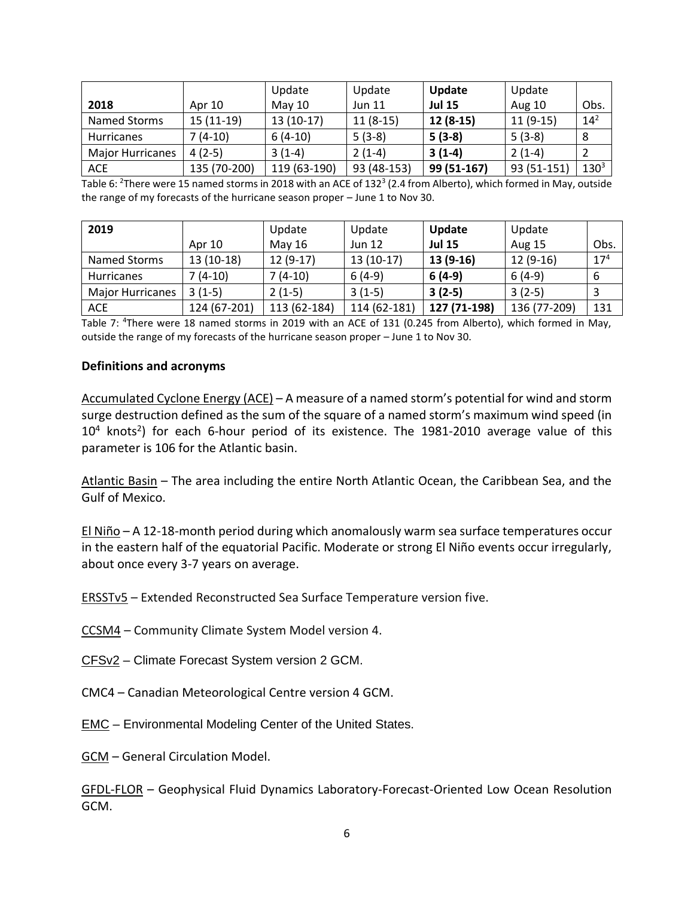|                         |              | Update       | Update        | Update        | Update      |                  |
|-------------------------|--------------|--------------|---------------|---------------|-------------|------------------|
| 2018                    | Apr 10       | May $10$     | <b>Jun 11</b> | <b>Jul 15</b> | Aug 10      | Obs.             |
| Named Storms            | $15(11-19)$  | $13(10-17)$  | $11(8-15)$    | $12(8-15)$    | $11(9-15)$  | $14^{2}$         |
| <b>Hurricanes</b>       | 7 (4-10)     | $6(4-10)$    | $5(3-8)$      | $5(3-8)$      | $5(3-8)$    |                  |
| <b>Major Hurricanes</b> | 4 (2-5)      | $3(1-4)$     | $2(1-4)$      | $3(1-4)$      | $2(1-4)$    |                  |
| <b>ACE</b>              | 135 (70-200) | 119 (63-190) | 93 (48-153)   | 99 (51-167)   | 93 (51-151) | 130 <sup>3</sup> |

Table 6: <sup>2</sup>There were 15 named storms in 2018 with an ACE of 132<sup>3</sup> (2.4 from Alberto), which formed in May, outside the range of my forecasts of the hurricane season proper – June 1 to Nov 30.

| 2019                    |              | Update       | Update        | Update        | Update        |                 |
|-------------------------|--------------|--------------|---------------|---------------|---------------|-----------------|
|                         | Apr 10       | May 16       | <b>Jun 12</b> | <b>Jul 15</b> | <b>Aug 15</b> | Obs.            |
| Named Storms            | $13(10-18)$  | $12(9-17)$   | $13(10-17)$   | 13 (9-16)     | $12(9-16)$    | 17 <sup>4</sup> |
| <b>Hurricanes</b>       | $7(4-10)$    | $7(4-10)$    | $6(4-9)$      | $6(4-9)$      | $6(4-9)$      | b               |
| <b>Major Hurricanes</b> | $3(1-5)$     | $2(1-5)$     | $3(1-5)$      | $3(2-5)$      | $3(2-5)$      |                 |
| <b>ACE</b>              | 124 (67-201) | 113 (62-184) | 114 (62-181)  | 127 (71-198)  | 136 (77-209)  | 131             |

Table 7: <sup>4</sup>There were 18 named storms in 2019 with an ACE of 131 (0.245 from Alberto), which formed in May, outside the range of my forecasts of the hurricane season proper – June 1 to Nov 30.

#### **Definitions and acronyms**

Accumulated Cyclone Energy (ACE) – A measure of a named storm's potential for wind and storm surge destruction defined as the sum of the square of a named storm's maximum wind speed (in  $10<sup>4</sup>$  knots<sup>2</sup>) for each 6-hour period of its existence. The 1981-2010 average value of this parameter is 106 for the Atlantic basin.

Atlantic Basin – The area including the entire North Atlantic Ocean, the Caribbean Sea, and the Gulf of Mexico.

El Niño – A 12-18-month period during which anomalously warm sea surface temperatures occur in the eastern half of the equatorial Pacific. Moderate or strong El Niño events occur irregularly, about once every 3-7 years on average.

ERSSTv5 – Extended Reconstructed Sea Surface Temperature version five.

CCSM4 – Community Climate System Model version 4.

CFSv2 – Climate Forecast System version 2 GCM.

CMC4 – Canadian Meteorological Centre version 4 GCM.

EMC – Environmental Modeling Center of the United States.

GCM – General Circulation Model.

GFDL-FLOR – Geophysical Fluid Dynamics Laboratory-Forecast-Oriented Low Ocean Resolution GCM.